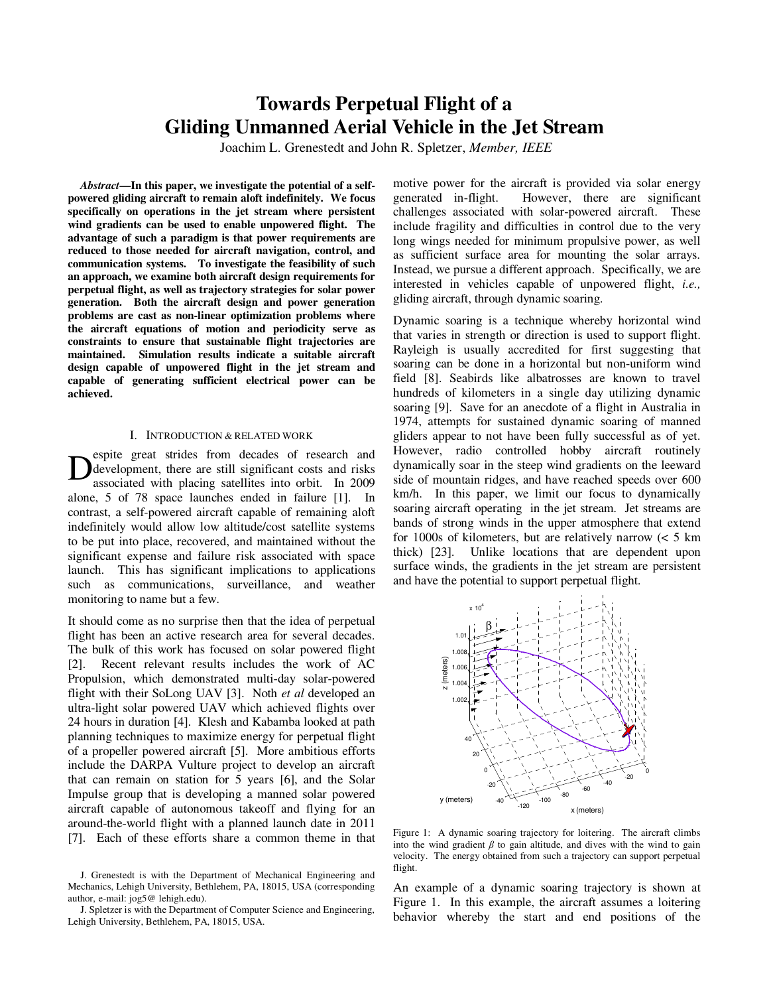# **Towards Perpetual Flight of a Gliding Unmanned Aerial Vehicle in the Jet Stream**

Joachim L. Grenestedt and John R. Spletzer, *Member, IEEE*

*Abstract***—In this paper, we investigate the potential of a selfpowered gliding aircraft to remain aloft indefinitely. We focus specifically on operations in the jet stream where persistent wind gradients can be used to enable unpowered flight. The advantage of such a paradigm is that power requirements are reduced to those needed for aircraft navigation, control, and communication systems. To investigate the feasibility of such an approach, we examine both aircraft design requirements for perpetual flight, as well as trajectory strategies for solar power generation. Both the aircraft design and power generation problems are cast as non-linear optimization problems where the aircraft equations of motion and periodicity serve as constraints to ensure that sustainable flight trajectories are maintained. Simulation results indicate a suitable aircraft design capable of unpowered flight in the jet stream and capable of generating sufficient electrical power can be achieved.** 

### I. INTRODUCTION & RELATED WORK

espite great strides from decades of research and development, there are still significant costs and risks associated with placing satellites into orbit. In 2009 alone, 5 of 78 space launches ended in failure [1]. In contrast, a self-powered aircraft capable of remaining aloft indefinitely would allow low altitude/cost satellite systems to be put into place, recovered, and maintained without the significant expense and failure risk associated with space launch. This has significant implications to applications such as communications, surveillance, and weather monitoring to name but a few. D

It should come as no surprise then that the idea of perpetual flight has been an active research area for several decades. The bulk of this work has focused on solar powered flight [2]. Recent relevant results includes the work of AC Propulsion, which demonstrated multi-day solar-powered flight with their SoLong UAV [3]. Noth *et al* developed an ultra-light solar powered UAV which achieved flights over 24 hours in duration [4]. Klesh and Kabamba looked at path planning techniques to maximize energy for perpetual flight of a propeller powered aircraft [5]. More ambitious efforts include the DARPA Vulture project to develop an aircraft that can remain on station for 5 years [6], and the Solar Impulse group that is developing a manned solar powered aircraft capable of autonomous takeoff and flying for an around-the-world flight with a planned launch date in 2011 [7]. Each of these efforts share a common theme in that motive power for the aircraft is provided via solar energy generated in-flight. However, there are significant challenges associated with solar-powered aircraft. These include fragility and difficulties in control due to the very long wings needed for minimum propulsive power, as well as sufficient surface area for mounting the solar arrays. Instead, we pursue a different approach. Specifically, we are interested in vehicles capable of unpowered flight, *i.e.,*  gliding aircraft, through dynamic soaring.

Dynamic soaring is a technique whereby horizontal wind that varies in strength or direction is used to support flight. Rayleigh is usually accredited for first suggesting that soaring can be done in a horizontal but non-uniform wind field [8]. Seabirds like albatrosses are known to travel hundreds of kilometers in a single day utilizing dynamic soaring [9]. Save for an anecdote of a flight in Australia in 1974, attempts for sustained dynamic soaring of manned gliders appear to not have been fully successful as of yet. However, radio controlled hobby aircraft routinely dynamically soar in the steep wind gradients on the leeward side of mountain ridges, and have reached speeds over 600 km/h. In this paper, we limit our focus to dynamically soaring aircraft operating in the jet stream. Jet streams are bands of strong winds in the upper atmosphere that extend for 1000s of kilometers, but are relatively narrow (< 5 km thick) [23]. Unlike locations that are dependent upon surface winds, the gradients in the jet stream are persistent and have the potential to support perpetual flight.



Figure 1: A dynamic soaring trajectory for loitering. The aircraft climbs into the wind gradient  $\beta$  to gain altitude, and dives with the wind to gain velocity. The energy obtained from such a trajectory can support perpetual flight.

An example of a dynamic soaring trajectory is shown at Figure 1. In this example, the aircraft assumes a loitering behavior whereby the start and end positions of the

J. Grenestedt is with the Department of Mechanical Engineering and Mechanics, Lehigh University, Bethlehem, PA, 18015, USA (corresponding author, e-mail: jog5@ lehigh.edu).

J. Spletzer is with the Department of Computer Science and Engineering, Lehigh University, Bethlehem, PA, 18015, USA.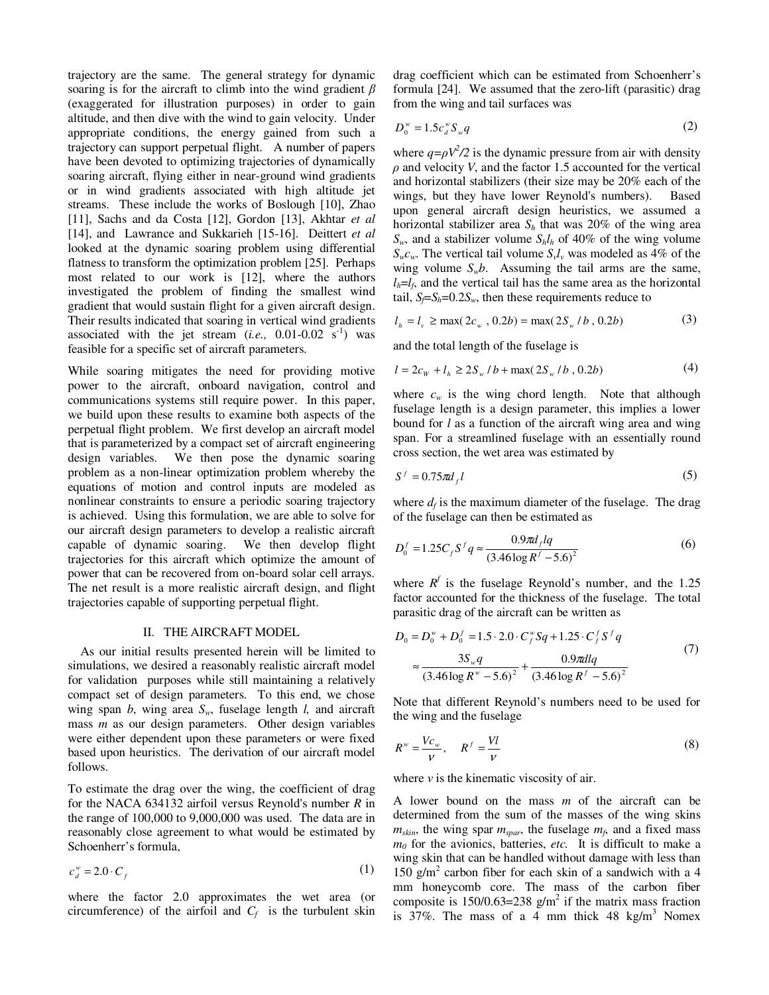trajectory are the same. The general strategy for dynamic soaring is for the aircraft to climb into the wind gradient  $\beta$ (exaggerated for illustration purposes) in order to gain altitude, and then dive with the wind to gain velocity. Under appropriate conditions, the energy gained from such a trajectory can support perpetual flight. A number of papers have been devoted to optimizing trajectories of dynamically soaring aircraft, flying either in near-ground wind gradients or in wind gradients associated with high altitude jet streams. These include the works of Boslough [10], Zhao [11], Sachs and da Costa [12], Gordon [13], Akhtar *et al* [14], and Lawrance and Sukkarieh [15-16]. Deittert *et al* looked at the dynamic soaring problem using differential flatness to transform the optimization problem [25]. Perhaps most related to our work is [12], where the authors investigated the problem of finding the smallest wind gradient that would sustain flight for a given aircraft design. Their results indicated that soaring in vertical wind gradients associated with the jet stream  $(i.e., 0.01-0.02 s<sup>-1</sup>)$  was feasible for a specific set of aircraft parameters.

While soaring mitigates the need for providing motive power to the aircraft, onboard navigation, control and communications systems still require power. In this paper, we build upon these results to examine both aspects of the perpetual flight problem. We first develop an aircraft model that is parameterized by a compact set of aircraft engineering design variables. We then pose the dynamic soaring problem as a non-linear optimization problem whereby the equations of motion and control inputs are modeled as nonlinear constraints to ensure a periodic soaring trajectory is achieved. Using this formulation, we are able to solve for our aircraft design parameters to develop a realistic aircraft capable of dynamic soaring. We then develop flight trajectories for this aircraft which optimize the amount of power that can be recovered from on-board solar cell arrays. The net result is a more realistic aircraft design, and flight trajectories capable of supporting perpetual flight.

## II. THE AIRCRAFT MODEL

As our initial results presented herein will be limited to simulations, we desired a reasonably realistic aircraft model for validation purposes while still maintaining a relatively compact set of design parameters. To this end, we chose wing span *b*, wing area *Sw*, fuselage length *l,* and aircraft mass *m* as our design parameters. Other design variables were either dependent upon these parameters or were fixed based upon heuristics. The derivation of our aircraft model follows.

To estimate the drag over the wing, the coefficient of drag for the NACA 634132 airfoil versus Reynold's number *R* in the range of 100,000 to 9,000,000 was used. The data are in reasonably close agreement to what would be estimated by Schoenherr's formula,

$$
c_d^{\mathbf{w}} = 2.0 \cdot C_f \tag{1}
$$

where the factor 2.0 approximates the wet area (or circumference) of the airfoil and  $C_f$  is the turbulent skin drag coefficient which can be estimated from Schoenherr's formula [24]. We assumed that the zero-lift (parasitic) drag from the wing and tail surfaces was

$$
D_0^{\ w} = 1.5c_d^{\ w}S_{\ w}q \tag{2}
$$

where  $q = \rho V^2/2$  is the dynamic pressure from air with density  $\rho$  and velocity *V*, and the factor 1.5 accounted for the vertical and horizontal stabilizers (their size may be 20% each of the wings, but they have lower Reynold's numbers). Based upon general aircraft design heuristics, we assumed a horizontal stabilizer area  $S_h$  that was 20% of the wing area  $S_w$ , and a stabilizer volume  $S_h l_h$  of 40% of the wing volume  $S_w c_w$ . The vertical tail volume  $S_v l_v$  was modeled as 4% of the wing volume  $S_w b$ . Assuming the tail arms are the same,  $l_h = l_f$ , and the vertical tail has the same area as the horizontal tail,  $S_f = S_h = 0.2 S_w$ , then these requirements reduce to

$$
l_h = l_v \ge \max(2c_w, 0.2b) = \max(2S_w / b, 0.2b)
$$
 (3)

and the total length of the fuselage is

$$
l = 2cw + lh \ge 2Sw / b + \max(2Sw / b, 0.2b)
$$
 (4)

where  $c_w$  is the wing chord length. Note that although fuselage length is a design parameter, this implies a lower bound for *l* as a function of the aircraft wing area and wing span. For a streamlined fuselage with an essentially round cross section, the wet area was estimated by

$$
S^f = 0.75 \pi d_f l \tag{5}
$$

where  $d_f$  is the maximum diameter of the fuselage. The drag of the fuselage can then be estimated as

$$
D_0^f = 1.25 C_f S^f q \approx \frac{0.9 \pi d_f l q}{(3.46 \log R^f - 5.6)^2}
$$
 (6)

where  $R^f$  is the fuselage Reynold's number, and the 1.25 factor accounted for the thickness of the fuselage. The total parasitic drag of the aircraft can be written as

$$
D_0 = D_0^{\nu} + D_0^f = 1.5 \cdot 2.0 \cdot C_f^{\nu} Sq + 1.25 \cdot C_f^f S^f q
$$
  

$$
\approx \frac{3S_{\nu} q}{(3.46 \log R^{\nu} - 5.6)^2} + \frac{0.9 \pi dl q}{(3.46 \log R^f - 5.6)^2}
$$
 (7)

Note that different Reynold's numbers need to be used for the wing and the fuselage

$$
R^w = \frac{Vc_w}{V}, \quad R^f = \frac{VI}{V}
$$
 (8)

where  $\nu$  is the kinematic viscosity of air.

A lower bound on the mass *m* of the aircraft can be determined from the sum of the masses of the wing skins  $m_{skin}$ , the wing spar  $m_{spar}$ , the fuselage  $m_f$ , and a fixed mass *m<sup>0</sup>* for the avionics, batteries, *etc.* It is difficult to make a wing skin that can be handled without damage with less than 150 g/m<sup>2</sup> carbon fiber for each skin of a sandwich with a 4 mm honeycomb core. The mass of the carbon fiber composite is 150/0.63=238  $g/m^2$  if the matrix mass fraction is  $37\%$ . The mass of a 4 mm thick 48 kg/m<sup>3</sup> Nomex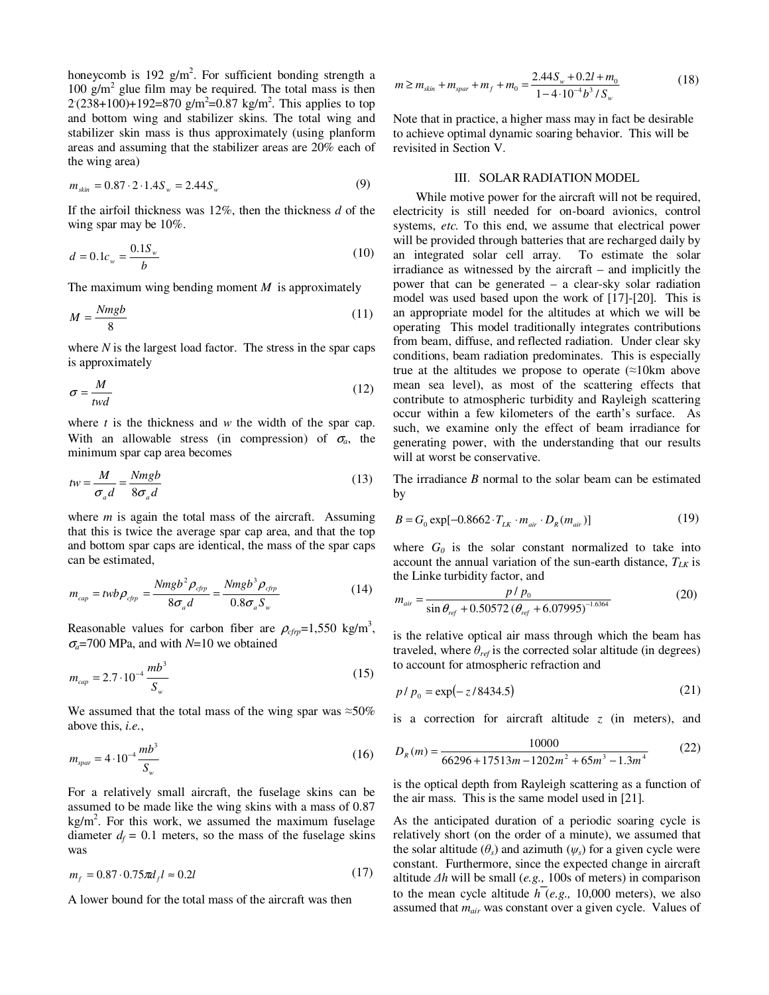honeycomb is 192  $g/m^2$ . For sufficient bonding strength a 100 g/m<sup>2</sup> glue film may be required. The total mass is then  $2(238+100)+192=870$  g/m<sup>2</sup>=0.87 kg/m<sup>2</sup>. This applies to top and bottom wing and stabilizer skins. The total wing and stabilizer skin mass is thus approximately (using planform areas and assuming that the stabilizer areas are 20% each of the wing area)

$$
m_{\rm skin} = 0.87 \cdot 2 \cdot 1.4 S_w = 2.44 S_w \tag{9}
$$

If the airfoil thickness was 12%, then the thickness *d* of the wing spar may be 10%.

$$
d = 0.1c_w = \frac{0.1S_w}{b}
$$
 (10)

The maximum wing bending moment *M* is approximately

$$
M = \frac{Nmgb}{8} \tag{11}
$$

where *N* is the largest load factor. The stress in the spar caps is approximately

$$
\sigma = \frac{M}{twd} \tag{12}
$$

where *t* is the thickness and *w* the width of the spar cap. With an allowable stress (in compression) of  $\sigma_a$ , the minimum spar cap area becomes

$$
tw = \frac{M}{\sigma_a d} = \frac{Nmgb}{8\sigma_a d} \tag{13}
$$

where *m* is again the total mass of the aircraft. Assuming that this is twice the average spar cap area, and that the top and bottom spar caps are identical, the mass of the spar caps can be estimated,

$$
m_{cap} = twb \rho_{cfp} = \frac{Nmgb^2 \rho_{cfp}}{8\sigma_a d} = \frac{Nmgb^3 \rho_{cfp}}{0.8\sigma_a S_w}
$$
(14)

Reasonable values for carbon fiber are  $\rho_{cf{rp}}$ =1,550 kg/m<sup>3</sup>, <sup>σ</sup>*a*=700 MPa, and with *N*=10 we obtained

$$
m_{cap} = 2.7 \cdot 10^{-4} \frac{mb^3}{S_w} \tag{15}
$$

We assumed that the total mass of the wing spar was  $\approx 50\%$ above this, *i.e.*,

$$
m_{\text{spar}} = 4 \cdot 10^{-4} \frac{mb^3}{S_w} \tag{16}
$$

For a relatively small aircraft, the fuselage skins can be assumed to be made like the wing skins with a mass of 0.87  $kg/m<sup>2</sup>$ . For this work, we assumed the maximum fuselage diameter  $d_f = 0.1$  meters, so the mass of the fuselage skins was

$$
m_f = 0.87 \cdot 0.75 \pi d_f l \approx 0.2l \tag{17}
$$

A lower bound for the total mass of the aircraft was then

$$
m \ge m_{\text{skin}} + m_{\text{spar}} + m_f + m_0 = \frac{2.44 S_w + 0.2l + m_0}{1 - 4 \cdot 10^{-4} b^3 / S_w}
$$
(18)

Note that in practice, a higher mass may in fact be desirable to achieve optimal dynamic soaring behavior. This will be revisited in Section V.

# III. SOLAR RADIATION MODEL

 While motive power for the aircraft will not be required, electricity is still needed for on-board avionics, control systems, *etc.* To this end, we assume that electrical power will be provided through batteries that are recharged daily by an integrated solar cell array. To estimate the solar irradiance as witnessed by the aircraft – and implicitly the power that can be generated – a clear-sky solar radiation model was used based upon the work of [17]-[20]. This is an appropriate model for the altitudes at which we will be operating This model traditionally integrates contributions from beam, diffuse, and reflected radiation. Under clear sky conditions, beam radiation predominates. This is especially true at the altitudes we propose to operate  $(\approx 10 \text{km})$  above mean sea level), as most of the scattering effects that contribute to atmospheric turbidity and Rayleigh scattering occur within a few kilometers of the earth's surface. As such, we examine only the effect of beam irradiance for generating power, with the understanding that our results will at worst be conservative.

The irradiance *B* normal to the solar beam can be estimated by

$$
B = G_0 \exp[-0.8662 \cdot T_{LK} \cdot m_{air} \cdot D_R(m_{air})]
$$
 (19)

where  $G_0$  is the solar constant normalized to take into account the annual variation of the sun-earth distance, *TLK* is the Linke turbidity factor, and

$$
m_{air} = \frac{p / p_0}{\sin \theta_{ref} + 0.50572 \left(\theta_{ref} + 6.07995\right)^{-1.6364}}\tag{20}
$$

is the relative optical air mass through which the beam has traveled, where  $\theta_{ref}$  is the corrected solar altitude (in degrees) to account for atmospheric refraction and

$$
p / p_0 = \exp(-z/8434.5) \tag{21}
$$

is a correction for aircraft altitude *z* (in meters), and

$$
D_R(m) = \frac{10000}{66296 + 17513m - 1202m^2 + 65m^3 - 1.3m^4}
$$
 (22)

is the optical depth from Rayleigh scattering as a function of the air mass. This is the same model used in [21].

As the anticipated duration of a periodic soaring cycle is relatively short (on the order of a minute), we assumed that the solar altitude  $(\theta_s)$  and azimuth  $(\psi_s)$  for a given cycle were constant. Furthermore, since the expected change in aircraft altitude ∆*h* will be small (*e.g.,* 100s of meters) in comparison to the mean cycle altitude  $h(\epsilon, g, 10,000)$  meters), we also assumed that *mair* was constant over a given cycle. Values of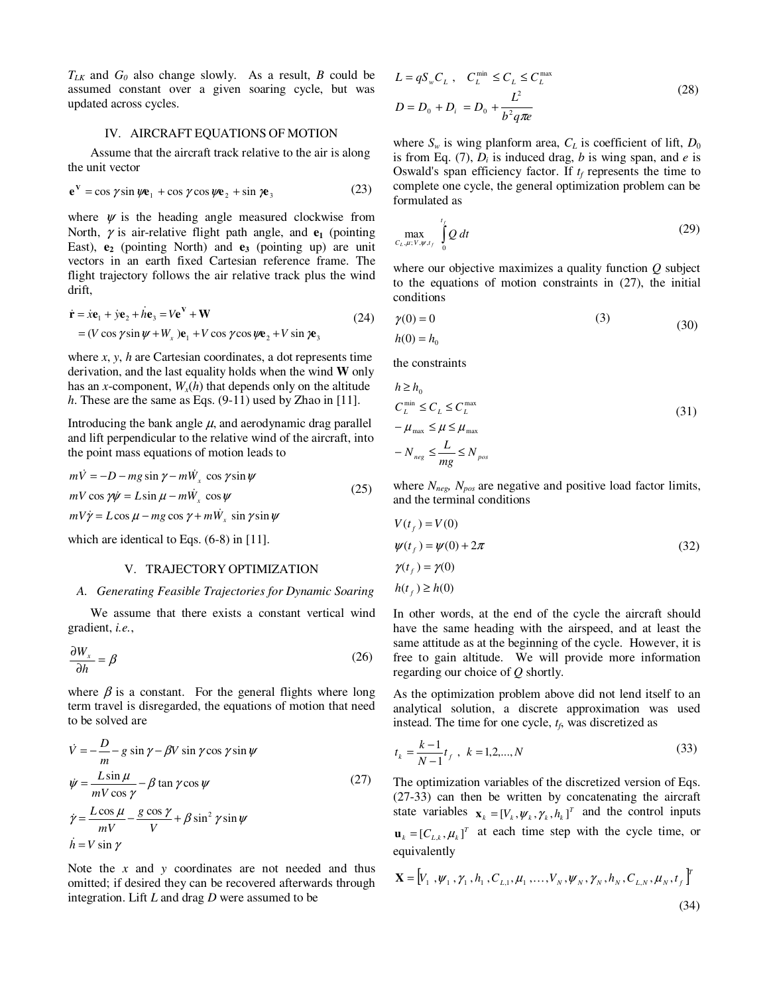$T_{LK}$  and  $G_0$  also change slowly. As a result, *B* could be assumed constant over a given soaring cycle, but was updated across cycles.

# IV. AIRCRAFT EQUATIONS OF MOTION

 Assume that the aircraft track relative to the air is along the unit vector

$$
\mathbf{e}^{\mathbf{V}} = \cos \gamma \sin \psi \mathbf{e}_1 + \cos \gamma \cos \psi \mathbf{e}_2 + \sin \gamma \mathbf{e}_3 \tag{23}
$$

where  $\psi$  is the heading angle measured clockwise from North,  $\gamma$  is air-relative flight path angle, and  $\mathbf{e}_1$  (pointing East), **e2** (pointing North) and **e3** (pointing up) are unit vectors in an earth fixed Cartesian reference frame. The flight trajectory follows the air relative track plus the wind drift,

$$
\dot{\mathbf{r}} = \dot{x}\mathbf{e}_1 + \dot{y}\mathbf{e}_2 + h\mathbf{e}_3 = V\mathbf{e}^V + \mathbf{W}
$$
  
= (V cos  $\gamma$  sin  $\psi$  + W<sub>x</sub> ) $\mathbf{e}_1$  + V cos  $\gamma$  cos  $\psi$  $\mathbf{e}_2$  + V sin  $\gamma$  $\mathbf{e}_3$  (24)

where *x*, *y*, *h* are Cartesian coordinates, a dot represents time derivation, and the last equality holds when the wind **W** only has an *x*-component,  $W_x(h)$  that depends only on the altitude *h*. These are the same as Eqs. (9-11) used by Zhao in [11].

Introducing the bank angle  $\mu$ , and aerodynamic drag parallel and lift perpendicular to the relative wind of the aircraft, into the point mass equations of motion leads to

$$
m\dot{V} = -D - mg\sin\gamma - m\dot{W}_x\cos\gamma\sin\psi
$$
  
\n
$$
mV\cos\gamma\dot{\psi} = L\sin\mu - m\dot{W}_x\cos\psi
$$
  
\n
$$
mV\dot{\gamma} = L\cos\mu - mg\cos\gamma + m\dot{W}_x\sin\gamma\sin\psi
$$
\n(25)

which are identical to Eqs.  $(6-8)$  in [11].

## V. TRAJECTORY OPTIMIZATION

#### *A. Generating Feasible Trajectories for Dynamic Soaring*

 We assume that there exists a constant vertical wind gradient, *i.e.*,

$$
\frac{\partial W_x}{\partial h} = \beta \tag{26}
$$

where  $\beta$  is a constant. For the general flights where long term travel is disregarded, the equations of motion that need to be solved are

$$
\dot{V} = -\frac{D}{m} - g \sin \gamma - \beta V \sin \gamma \cos \gamma \sin \psi
$$
  
\n
$$
\dot{\psi} = \frac{L \sin \mu}{mV \cos \gamma} - \beta \tan \gamma \cos \psi
$$
  
\n
$$
\dot{\gamma} = \frac{L \cos \mu}{mV} - \frac{g \cos \gamma}{V} + \beta \sin^2 \gamma \sin \psi
$$
  
\n
$$
\dot{h} = V \sin \gamma
$$
\n(27)

Note the *x* and *y* coordinates are not needed and thus omitted; if desired they can be recovered afterwards through integration. Lift *L* and drag *D* were assumed to be

$$
L = qS_w C_L, \quad C_L^{\min} \le C_L \le C_L^{\max}
$$
  

$$
D = D_0 + D_i = D_0 + \frac{L^2}{b^2 q \pi e}
$$
 (28)

where  $S_w$  is wing planform area,  $C_L$  is coefficient of lift,  $D_0$ is from Eq. (7),  $D_i$  is induced drag,  $b$  is wing span, and  $e$  is Oswald's span efficiency factor. If  $t_f$  represents the time to complete one cycle, the general optimization problem can be formulated as

$$
\max_{C_L, \mu; V, \psi, t_f} \int\limits_0^{t_f} Q \, dt \tag{29}
$$

where our objective maximizes a quality function *Q* subject to the equations of motion constraints in (27), the initial conditions

(24) 
$$
\gamma(0) = 0
$$
 (3) (30)

$$
h(0) = h_0
$$

the constraints

$$
h \ge h_0
$$
  
\n
$$
C_L^{\min} \le C_L \le C_L^{\max}
$$
  
\n
$$
-\mu_{\max} \le \mu \le \mu_{\max}
$$
  
\n
$$
-N_{\max} \le \frac{L}{mg} \le N_{\text{pos}}
$$
\n(31)

where *Nneg, Npos* are negative and positive load factor limits, and the terminal conditions

$$
V(tf) = V(0)
$$
  
\n
$$
\psi(tf) = \psi(0) + 2\pi
$$
  
\n
$$
\gamma(tf) = \gamma(0)
$$
  
\n
$$
h(tf) \ge h(0)
$$
\n(32)

In other words, at the end of the cycle the aircraft should have the same heading with the airspeed, and at least the same attitude as at the beginning of the cycle. However, it is free to gain altitude. We will provide more information regarding our choice of *Q* shortly.

As the optimization problem above did not lend itself to an analytical solution, a discrete approximation was used instead. The time for one cycle, *t<sup>f</sup>* , was discretized as

$$
t_k = \frac{k-1}{N-1}t_f, \quad k = 1, 2, \dots, N
$$
\n(33)

The optimization variables of the discretized version of Eqs. (27-33) can then be written by concatenating the aircraft state variables  $\mathbf{x}_k = [V_k, \psi_k, \gamma_k, h_k]^T$  and the control inputs  $\mathbf{u}_k = [C_{L,k}, \mu_k]^T$  at each time step with the cycle time, or equivalently

$$
\mathbf{X} = [V_1, \psi_1, \gamma_1, h_1, C_{L,1}, \mu_1, \dots, V_N, \psi_N, \gamma_N, h_N, C_{L,N}, \mu_N, t_f]^T
$$
\n(34)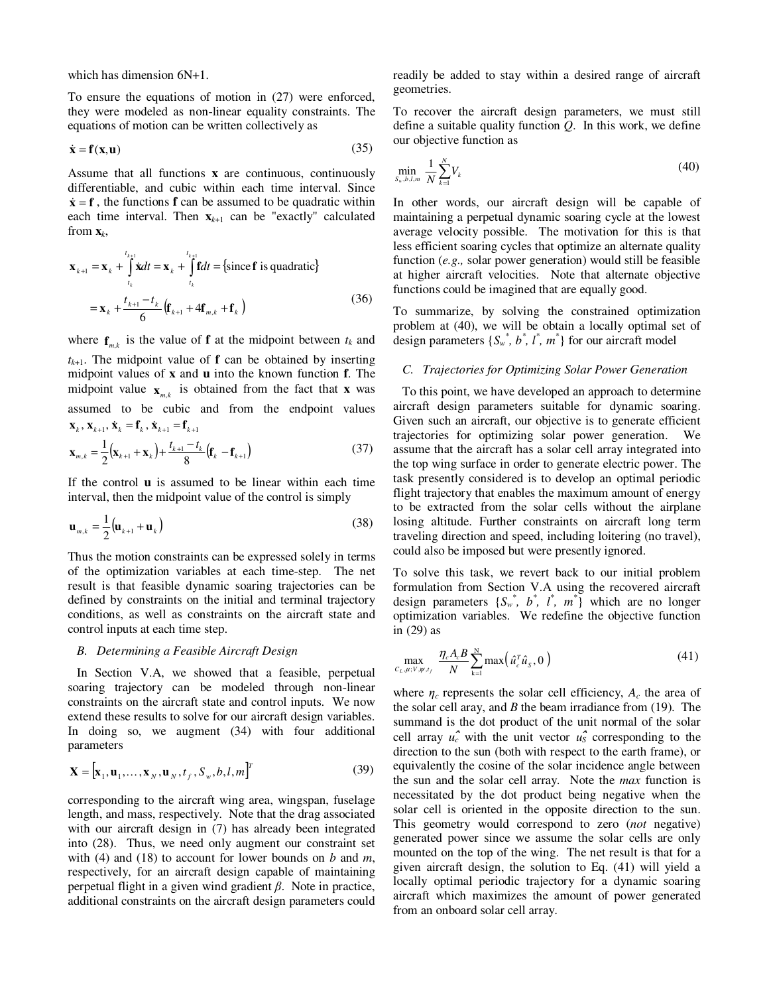which has dimension 6N+1.

To ensure the equations of motion in (27) were enforced, they were modeled as non-linear equality constraints. The equations of motion can be written collectively as

$$
\dot{\mathbf{x}} = \mathbf{f}(\mathbf{x}, \mathbf{u}) \tag{35}
$$

Assume that all functions **x** are continuous, continuously differentiable, and cubic within each time interval. Since  $\dot{x} = f$ , the functions **f** can be assumed to be quadratic within each time interval. Then  $\mathbf{x}_{k+1}$  can be "exactly" calculated from **x***<sup>k</sup>* ,

$$
\mathbf{x}_{k+1} = \mathbf{x}_k + \int_{t_k}^{t_{k+1}} \dot{\mathbf{x}} dt = \mathbf{x}_k + \int_{t_k}^{t_{k+1}} \mathbf{f} dt = \{\text{since } \mathbf{f} \text{ is quadratic}\}\
$$

$$
= \mathbf{x}_k + \frac{t_{k+1} - t_k}{6} \left(\mathbf{f}_{k+1} + 4\mathbf{f}_{m,k} + \mathbf{f}_k\right)
$$
(36)

where  $f_{m,k}$  is the value of **f** at the midpoint between  $t_k$  and  $t_{k+1}$ . The midpoint value of **f** can be obtained by inserting midpoint values of **x** and **u** into the known function **f**. The midpoint value  $\mathbf{x}_{m,k}$  is obtained from the fact that **x** was assumed to be cubic and from the endpoint values  $\mathbf{x}_k$ ,  $\mathbf{x}_{k+1}$ ,  $\dot{\mathbf{x}}_k = \mathbf{f}_k$ ,  $\dot{\mathbf{x}}_{k+1} = \mathbf{f}_{k+1}$ 

$$
\mathbf{x}_{m,k} = \frac{1}{2} (\mathbf{x}_{k+1} + \mathbf{x}_k) + \frac{t_{k+1} - t_k}{8} (\mathbf{f}_k - \mathbf{f}_{k+1})
$$
(37)

If the control **u** is assumed to be linear within each time interval, then the midpoint value of the control is simply

$$
\mathbf{u}_{m,k} = \frac{1}{2} \left( \mathbf{u}_{k+1} + \mathbf{u}_k \right)
$$
 (38)

Thus the motion constraints can be expressed solely in terms of the optimization variables at each time-step. The net result is that feasible dynamic soaring trajectories can be defined by constraints on the initial and terminal trajectory conditions, as well as constraints on the aircraft state and control inputs at each time step.

## *B. Determining a Feasible Aircraft Design*

In Section V.A, we showed that a feasible, perpetual soaring trajectory can be modeled through non-linear constraints on the aircraft state and control inputs. We now extend these results to solve for our aircraft design variables. In doing so, we augment (34) with four additional parameters

$$
\mathbf{X} = [\mathbf{x}_1, \mathbf{u}_1, \dots, \mathbf{x}_N, \mathbf{u}_N, t_f, S_w, b, l, m]^T
$$
(39)

corresponding to the aircraft wing area, wingspan, fuselage length, and mass, respectively. Note that the drag associated with our aircraft design in (7) has already been integrated into (28). Thus, we need only augment our constraint set with (4) and (18) to account for lower bounds on *b* and *m*, respectively, for an aircraft design capable of maintaining perpetual flight in a given wind gradient β. Note in practice, additional constraints on the aircraft design parameters could readily be added to stay within a desired range of aircraft geometries.

To recover the aircraft design parameters, we must still define a suitable quality function *Q*. In this work, we define our objective function as

$$
\min_{S_w, b, l, m} \frac{1}{N} \sum_{k=1}^N V_k
$$
\n(40)

In other words, our aircraft design will be capable of maintaining a perpetual dynamic soaring cycle at the lowest average velocity possible. The motivation for this is that less efficient soaring cycles that optimize an alternate quality function (*e.g.,* solar power generation) would still be feasible at higher aircraft velocities. Note that alternate objective functions could be imagined that are equally good.

To summarize, by solving the constrained optimization problem at (40), we will be obtain a locally optimal set of design parameters  $\{S_w^*, b^*, l^*, m^*\}$  for our aircraft model

#### *C. Trajectories for Optimizing Solar Power Generation*

To this point, we have developed an approach to determine aircraft design parameters suitable for dynamic soaring. Given such an aircraft, our objective is to generate efficient trajectories for optimizing solar power generation. We assume that the aircraft has a solar cell array integrated into the top wing surface in order to generate electric power. The task presently considered is to develop an optimal periodic flight trajectory that enables the maximum amount of energy to be extracted from the solar cells without the airplane losing altitude. Further constraints on aircraft long term traveling direction and speed, including loitering (no travel), could also be imposed but were presently ignored.

To solve this task, we revert back to our initial problem formulation from Section V.A using the recovered aircraft design parameters  $\{S_w^*, b^*, l^*, m^*\}$  which are no longer optimization variables. We redefine the objective function in (29) as

$$
\max_{C_L, \mu; V, \psi, t_f} \frac{\eta_c A_c B}{N} \sum_{k=1}^N \max\left(\hat{u}_c^T \hat{u}_s, 0\right) \tag{41}
$$

where  $\eta_c$  represents the solar cell efficiency,  $A_c$  the area of the solar cell aray, and *B* the beam irradiance from (19). The summand is the dot product of the unit normal of the solar cell array  $u_c^{\uparrow}$  with the unit vector  $u_s^{\uparrow}$  corresponding to the direction to the sun (both with respect to the earth frame), or equivalently the cosine of the solar incidence angle between the sun and the solar cell array. Note the *max* function is necessitated by the dot product being negative when the solar cell is oriented in the opposite direction to the sun. This geometry would correspond to zero (*not* negative) generated power since we assume the solar cells are only mounted on the top of the wing. The net result is that for a given aircraft design, the solution to Eq. (41) will yield a locally optimal periodic trajectory for a dynamic soaring aircraft which maximizes the amount of power generated from an onboard solar cell array.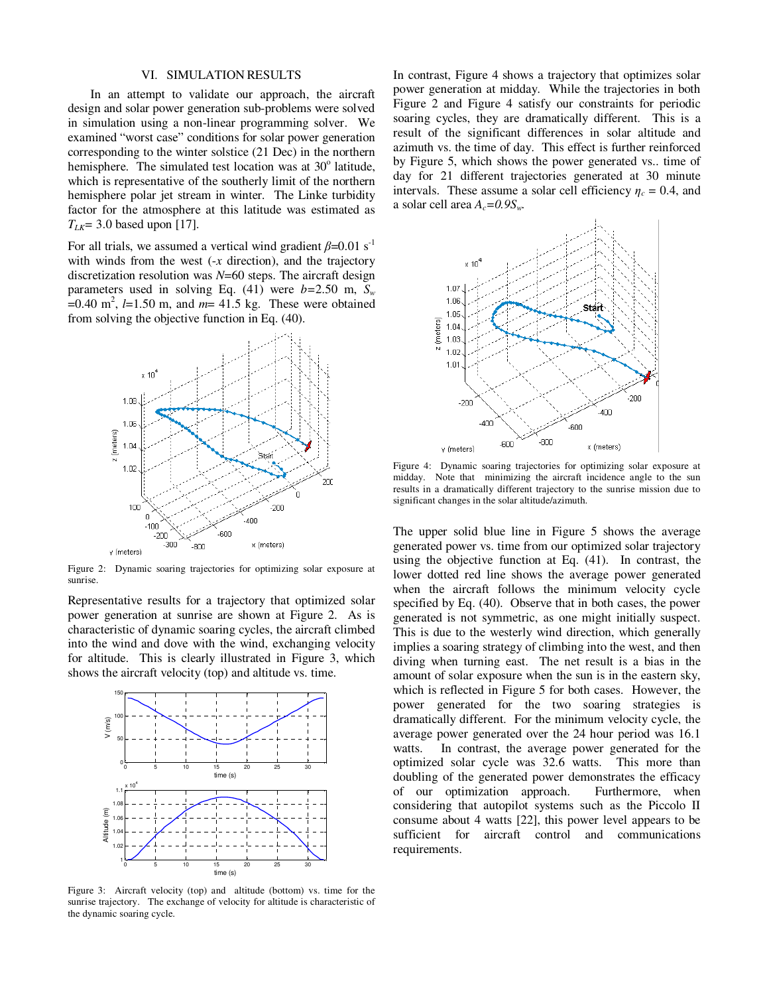### VI. SIMULATION RESULTS

 In an attempt to validate our approach, the aircraft design and solar power generation sub-problems were solved in simulation using a non-linear programming solver. We examined "worst case" conditions for solar power generation corresponding to the winter solstice (21 Dec) in the northern hemisphere. The simulated test location was at 30° latitude, which is representative of the southerly limit of the northern hemisphere polar jet stream in winter. The Linke turbidity factor for the atmosphere at this latitude was estimated as  $T_{LK}$ = 3.0 based upon [17].

For all trials, we assumed a vertical wind gradient  $\beta$ =0.01 s<sup>-1</sup> with winds from the west (-*x* direction), and the trajectory discretization resolution was *N*=60 steps. The aircraft design parameters used in solving Eq. (41) were  $b=2.50$  m,  $S_w$  $=0.40 \text{ m}^2$ ,  $l=1.50 \text{ m}$ , and  $m=41.5 \text{ kg}$ . These were obtained from solving the objective function in Eq. (40).



Figure 2: Dynamic soaring trajectories for optimizing solar exposure at sunrise.

Representative results for a trajectory that optimized solar power generation at sunrise are shown at Figure 2. As is characteristic of dynamic soaring cycles, the aircraft climbed into the wind and dove with the wind, exchanging velocity for altitude. This is clearly illustrated in Figure 3, which shows the aircraft velocity (top) and altitude vs. time.



Figure 3: Aircraft velocity (top) and altitude (bottom) vs. time for the sunrise trajectory. The exchange of velocity for altitude is characteristic of the dynamic soaring cycle.

In contrast, Figure 4 shows a trajectory that optimizes solar power generation at midday. While the trajectories in both Figure 2 and Figure 4 satisfy our constraints for periodic soaring cycles, they are dramatically different. This is a result of the significant differences in solar altitude and azimuth vs. the time of day. This effect is further reinforced by Figure 5, which shows the power generated vs.. time of day for 21 different trajectories generated at 30 minute intervals. These assume a solar cell efficiency  $\eta_c = 0.4$ , and a solar cell area  $A_c = 0.9S_w$ .



Figure 4: Dynamic soaring trajectories for optimizing solar exposure at midday. Note that minimizing the aircraft incidence angle to the sun results in a dramatically different trajectory to the sunrise mission due to significant changes in the solar altitude/azimuth.

The upper solid blue line in Figure 5 shows the average generated power vs. time from our optimized solar trajectory using the objective function at Eq. (41). In contrast, the lower dotted red line shows the average power generated when the aircraft follows the minimum velocity cycle specified by Eq. (40). Observe that in both cases, the power generated is not symmetric, as one might initially suspect. This is due to the westerly wind direction, which generally implies a soaring strategy of climbing into the west, and then diving when turning east. The net result is a bias in the amount of solar exposure when the sun is in the eastern sky, which is reflected in Figure 5 for both cases. However, the power generated for the two soaring strategies is dramatically different. For the minimum velocity cycle, the average power generated over the 24 hour period was 16.1 watts. In contrast, the average power generated for the optimized solar cycle was 32.6 watts. This more than doubling of the generated power demonstrates the efficacy of our optimization approach. Furthermore, when considering that autopilot systems such as the Piccolo II consume about 4 watts [22], this power level appears to be sufficient for aircraft control and communications requirements.